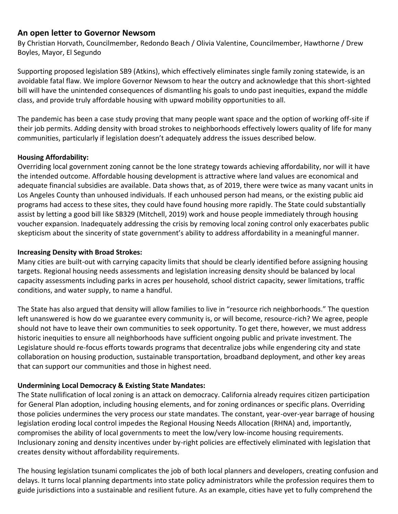# **An open letter to Governor Newsom**

By Christian Horvath, Councilmember, Redondo Beach / Olivia Valentine, Councilmember, Hawthorne / Drew Boyles, Mayor, El Segundo

Supporting proposed legislation SB9 (Atkins), which effectively eliminates single family zoning statewide, is an avoidable fatal flaw. We implore Governor Newsom to hear the outcry and acknowledge that this short-sighted bill will have the unintended consequences of dismantling his goals to undo past inequities, expand the middle class, and provide truly affordable housing with upward mobility opportunities to all.

The pandemic has been a case study proving that many people want space and the option of working off-site if their job permits. Adding density with broad strokes to neighborhoods effectively lowers quality of life for many communities, particularly if legislation doesn't adequately address the issues described below.

## **Housing Affordability:**

Overriding local government zoning cannot be the lone strategy towards achieving affordability, nor will it have the intended outcome. Affordable housing development is attractive where land values are economical and adequate financial subsidies are available. Data shows that, as of 2019, there were twice as many vacant units in Los Angeles County than unhoused individuals. If each unhoused person had means, or the existing public aid programs had access to these sites, they could have found housing more rapidly. The State could substantially assist by letting a good bill like SB329 (Mitchell, 2019) work and house people immediately through housing voucher expansion. Inadequately addressing the crisis by removing local zoning control only exacerbates public skepticism about the sincerity of state government's ability to address affordability in a meaningful manner.

## **Increasing Density with Broad Strokes:**

Many cities are built-out with carrying capacity limits that should be clearly identified before assigning housing targets. Regional housing needs assessments and legislation increasing density should be balanced by local capacity assessments including parks in acres per household, school district capacity, sewer limitations, traffic conditions, and water supply, to name a handful.

The State has also argued that density will allow families to live in "resource rich neighborhoods." The question left unanswered is how do we guarantee every community is, or will become, resource-rich? We agree, people should not have to leave their own communities to seek opportunity. To get there, however, we must address historic inequities to ensure all neighborhoods have sufficient ongoing public and private investment. The Legislature should re-focus efforts towards programs that decentralize jobs while engendering city and state collaboration on housing production, sustainable transportation, broadband deployment, and other key areas that can support our communities and those in highest need.

## **Undermining Local Democracy & Existing State Mandates:**

The State nullification of local zoning is an attack on democracy. California already requires citizen participation for General Plan adoption, including housing elements, and for zoning ordinances or specific plans. Overriding those policies undermines the very process our state mandates. The constant, year-over-year barrage of housing legislation eroding local control impedes the Regional Housing Needs Allocation (RHNA) and, importantly, compromises the ability of local governments to meet the low/very low-income housing requirements. Inclusionary zoning and density incentives under by-right policies are effectively eliminated with legislation that creates density without affordability requirements.

The housing legislation tsunami complicates the job of both local planners and developers, creating confusion and delays. It turns local planning departments into state policy administrators while the profession requires them to guide jurisdictions into a sustainable and resilient future. As an example, cities have yet to fully comprehend the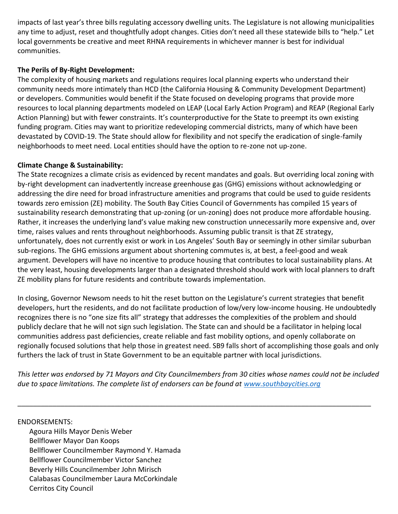impacts of last year's three bills regulating accessory dwelling units. The Legislature is not allowing municipalities any time to adjust, reset and thoughtfully adopt changes. Cities don't need all these statewide bills to "help." Let local governments be creative and meet RHNA requirements in whichever manner is best for individual communities.

## **The Perils of By-Right Development:**

The complexity of housing markets and regulations requires local planning experts who understand their community needs more intimately than HCD (the California Housing & Community Development Department) or developers. Communities would benefit if the State focused on developing programs that provide more resources to local planning departments modeled on LEAP (Local Early Action Program) and REAP (Regional Early Action Planning) but with fewer constraints. It's counterproductive for the State to preempt its own existing funding program. Cities may want to prioritize redeveloping commercial districts, many of which have been devastated by COVID-19. The State should allow for flexibility and not specify the eradication of single-family neighborhoods to meet need. Local entities should have the option to re-zone not up-zone.

### **Climate Change & Sustainability:**

The State recognizes a climate crisis as evidenced by recent mandates and goals. But overriding local zoning with by-right development can inadvertently increase greenhouse gas (GHG) emissions without acknowledging or addressing the dire need for broad infrastructure amenities and programs that could be used to guide residents towards zero emission (ZE) mobility. The South Bay Cities Council of Governments has compiled 15 years of sustainability research demonstrating that up-zoning (or un-zoning) does not produce more affordable housing. Rather, it increases the underlying land's value making new construction unnecessarily more expensive and, over time, raises values and rents throughout neighborhoods. Assuming public transit is that ZE strategy, unfortunately, does not currently exist or work in Los Angeles' South Bay or seemingly in other similar suburban sub-regions. The GHG emissions argument about shortening commutes is, at best, a feel-good and weak argument. Developers will have no incentive to produce housing that contributes to local sustainability plans. At the very least, housing developments larger than a designated threshold should work with local planners to draft ZE mobility plans for future residents and contribute towards implementation.

In closing, Governor Newsom needs to hit the reset button on the Legislature's current strategies that benefit developers, hurt the residents, and do not facilitate production of low/very low-income housing. He undoubtedly recognizes there is no "one size fits all" strategy that addresses the complexities of the problem and should publicly declare that he will not sign such legislation. The State can and should be a facilitator in helping local communities address past deficiencies, create reliable and fast mobility options, and openly collaborate on regionally focused solutions that help those in greatest need. SB9 falls short of accomplishing those goals and only furthers the lack of trust in State Government to be an equitable partner with local jurisdictions.

*This letter was endorsed by 71 Mayors and City Councilmembers from 30 cities whose names could not be included due to space limitations. The complete list of endorsers can be found at [www.southbaycities.org](http://www.southbaycities.org/)*

 $\mathcal{L} = \{ \mathcal{L} = \{ \mathcal{L} = \mathcal{L} \} \cup \{ \mathcal{L} = \{ \mathcal{L} = \mathcal{L} \} \cup \{ \mathcal{L} = \{ \mathcal{L} = \mathcal{L} = \mathcal{L} \} \cup \{ \mathcal{L} = \{ \mathcal{L} = \mathcal{L} = \mathcal{L} = \mathcal{L} = \mathcal{L} = \mathcal{L} \} \cup \{ \mathcal{L} = \{ \mathcal{L} = \mathcal{L} = \mathcal{L} = \mathcal{L} = \mathcal{L} = \mathcal{L} \} \cup \{ \mathcal{L} = \$ 

#### ENDORSEMENTS:

Agoura Hills Mayor Denis Weber Bellflower Mayor Dan Koops Bellflower Councilmember Raymond Y. Hamada Bellflower Councilmember Victor Sanchez Beverly Hills Councilmember John Mirisch Calabasas Councilmember Laura McCorkindale Cerritos City Council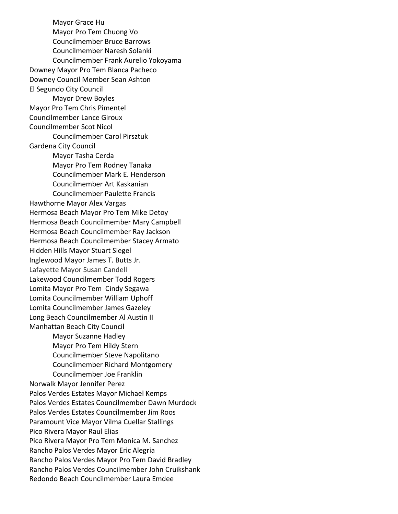Mayor Grace Hu Mayor Pro Tem Chuong Vo Councilmember Bruce Barrows Councilmember Naresh Solanki Councilmember Frank Aurelio Yokoyama Downey Mayor Pro Tem Blanca Pacheco Downey Council Member Sean Ashton El Segundo City Council Mayor Drew Boyles Mayor Pro Tem Chris Pimentel Councilmember Lance Giroux Councilmember Scot Nicol Councilmember Carol Pirsztuk Gardena City Council Mayor Tasha Cerda Mayor Pro Tem Rodney Tanaka Councilmember Mark E. Henderson Councilmember Art Kaskanian Councilmember Paulette Francis Hawthorne Mayor Alex Vargas Hermosa Beach Mayor Pro Tem Mike Detoy Hermosa Beach Councilmember Mary Campbell Hermosa Beach Councilmember Ray Jackson Hermosa Beach Councilmember Stacey Armato Hidden Hills Mayor Stuart Siegel Inglewood Mayor James T. Butts Jr. Lafayette Mayor Susan Candell Lakewood Councilmember Todd Rogers Lomita Mayor Pro Tem Cindy Segawa Lomita Councilmember William Uphoff Lomita Councilmember James Gazeley Long Beach Councilmember Al Austin II Manhattan Beach City Council Mayor Suzanne Hadley Mayor Pro Tem Hildy Stern Councilmember Steve Napolitano Councilmember Richard Montgomery Councilmember Joe Franklin Norwalk Mayor Jennifer Perez Palos Verdes Estates Mayor Michael Kemps Palos Verdes Estates Councilmember Dawn Murdock Palos Verdes Estates Councilmember Jim Roos Paramount Vice Mayor Vilma Cuellar Stallings Pico Rivera Mayor Raul Elias Pico Rivera Mayor Pro Tem Monica M. Sanchez Rancho Palos Verdes Mayor Eric Alegria Rancho Palos Verdes Mayor Pro Tem David Bradley Rancho Palos Verdes Councilmember John Cruikshank Redondo Beach Councilmember Laura Emdee